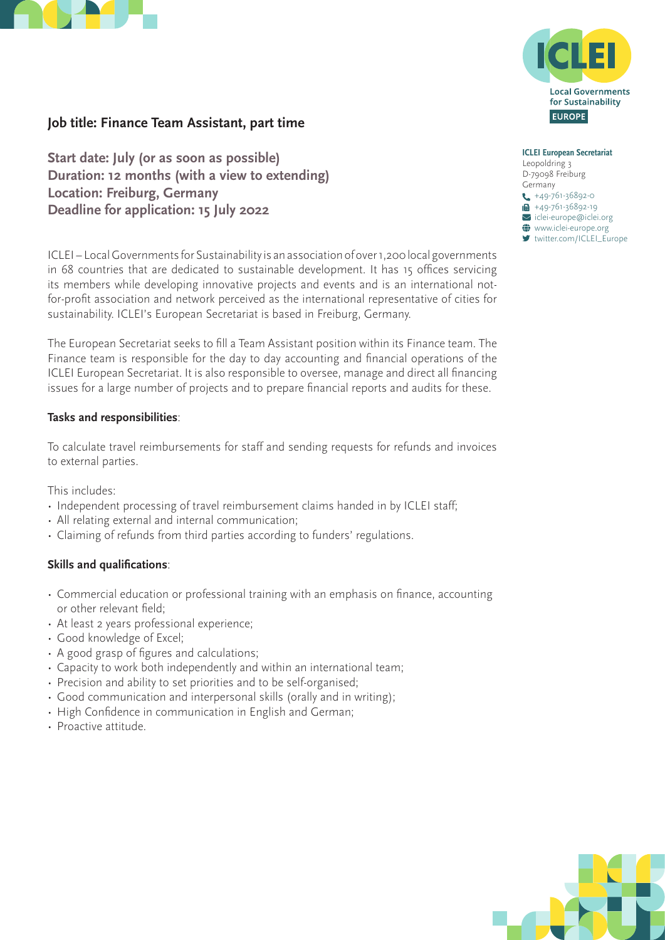



# **Job title: Finance Team Assistant, part time**

**Start date: July (or as soon as possible) Duration: 12 months (with a view to extending) Location: Freiburg, Germany Deadline for application: 15 July 2022** 

ICLEI – Local Governments for Sustainability is an association of over 1,200 local governments in 68 countries that are dedicated to sustainable development. It has 15 offices servicing its members while developing innovative projects and events and is an international notfor-profit association and network perceived as the international representative of cities for sustainability. ICLEI's European Secretariat is based in Freiburg, Germany.

The European Secretariat seeks to fill a Team Assistant position within its Finance team. The Finance team is responsible for the day to day accounting and financial operations of the ICLEI European Secretariat. It is also responsible to oversee, manage and direct all financing issues for a large number of projects and to prepare financial reports and audits for these.

### **Tasks and responsibilities**:

To calculate travel reimbursements for staff and sending requests for refunds and invoices to external parties.

This includes:

- Independent processing of travel reimbursement claims handed in by ICLEI staff;
- All relating external and internal communication;
- Claiming of refunds from third parties according to funders' regulations.

### **Skills and qualifications**:

- Commercial education or professional training with an emphasis on finance, accounting or other relevant field;
- At least 2 years professional experience;
- Good knowledge of Excel;
- A good grasp of figures and calculations;
- Capacity to work both independently and within an international team;
- Precision and ability to set priorities and to be self-organised;
- Good communication and interpersonal skills (orally and in writing);
- High Confidence in communication in English and German;
- Proactive attitude.

**ICLEI European Secretariat** Leopoldring 3 D-79098 Freiburg Germany  $\leftarrow$  +49-761-36892-0  $\overline{H}$  +49-761-36892-19

iclei-europe@iclei.org

 $\bigoplus$  www.iclei-europe.org ■ [twitter.com/ICLEI\\_Europe](https://twitter.com/ICLEI_Europe)